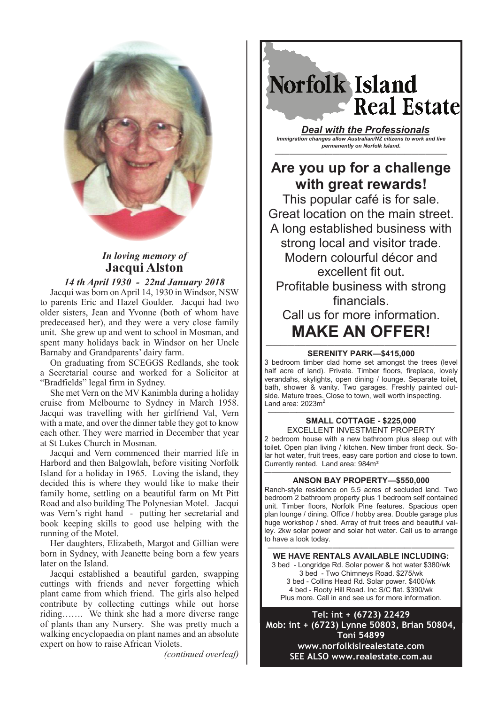

## *In loving memory of*  **Jacqui Alston**

## *14 th April 1930 - 22nd January 2018*

Jacqui was born on April 14, 1930 in Windsor, NSW to parents Eric and Hazel Goulder. Jacqui had two older sisters, Jean and Yvonne (both of whom have predeceased her), and they were a very close family unit. She grew up and went to school in Mosman, and spent many holidays back in Windsor on her Uncle Barnaby and Grandparents' dairy farm.

On graduating from SCEGGS Redlands, she took a Secretarial course and worked for a Solicitor at "Bradfields" legal firm in Sydney.

She met Vern on the MV Kanimbla during a holiday cruise from Melbourne to Sydney in March 1958. Jacqui was travelling with her girlfriend Val, Vern with a mate, and over the dinner table they got to know each other. They were married in December that year at St Lukes Church in Mosman.

Jacqui and Vern commenced their married life in Harbord and then Balgowlah, before visiting Norfolk Island for a holiday in 1965. Loving the island, they decided this is where they would like to make their family home, settling on a beautiful farm on Mt Pitt Road and also building The Polynesian Motel. Jacqui was Vern's right hand - putting her secretarial and book keeping skills to good use helping with the running of the Motel.

Her daughters, Elizabeth, Margot and Gillian were born in Sydney, with Jeanette being born a few years later on the Island.

Jacqui established a beautiful garden, swapping cuttings with friends and never forgetting which plant came from which friend. The girls also helped contribute by collecting cuttings while out horse riding……. We think she had a more diverse range of plants than any Nursery. She was pretty much a walking encyclopaedia on plant names and an absolute expert on how to raise African Violets.

*(continued overleaf)*

Norfolk Island **Real Estate** 

*Deal with the Professionals Immigration changes allow Australian/NZ citizens to work and live permanently on Norfolk Island.*

## **Are you up for a challenge with great rewards!**

————————————————————————

This popular café is for sale. Great location on the main street. A long established business with strong local and visitor trade. Modern colourful décor and excellent fit out. Profitable business with strong financials. Call us for more information.

# **MAKE AN OFFER!**

#### *————–——————————————————————* **SERENITY PARK—\$415,000**

3 bedroom timber clad home set amongst the trees (level half acre of land). Private. Timber floors, fireplace, lovely verandahs, skylights, open dining / lounge. Separate toilet, bath, shower & vanity. Two garages. Freshly painted outside. Mature trees. Close to town, well worth inspecting. Land area: 2023 $m<sup>2</sup>$ 

#### —————————————————————————— **SMALL COTTAGE - \$225,000** EXCELLENT INVESTMENT PROPERTY

2 bedroom house with a new bathroom plus sleep out with toilet. Open plan living / kitchen. New timber front deck. Solar hot water, fruit trees, easy care portion and close to town. Currently rented. Land area: 984m²

#### —————————————————————————— **ANSON BAY PROPERTY—\$550,000**

Ranch-style residence on 5.5 acres of secluded land. Two bedroom 2 bathroom property plus 1 bedroom self contained unit. Timber floors, Norfolk Pine features. Spacious open plan lounge / dining. Office / hobby area. Double garage plus huge workshop / shed. Array of fruit trees and beautiful valley. 2kw solar power and solar hot water. Call us to arrange to have a look today.

—————————————————————————— **WE HAVE RENTALS AVAILABLE INCLUDING:**

3 bed - Longridge Rd. Solar power & hot water \$380/wk 3 bed - Two Chimneys Road. \$275/wk 3 bed - Collins Head Rd. Solar power. \$400/wk 4 bed - Rooty Hill Road. Inc S/C flat. \$390/wk Plus more. Call in and see us for more information.

**Tel: int + (6723) 22429 Mob: int + (6723) Lynne 50803, Brian 50804, Toni 54899 www.norfolkislrealestate.com SEE ALSO www.realestate.com.au**